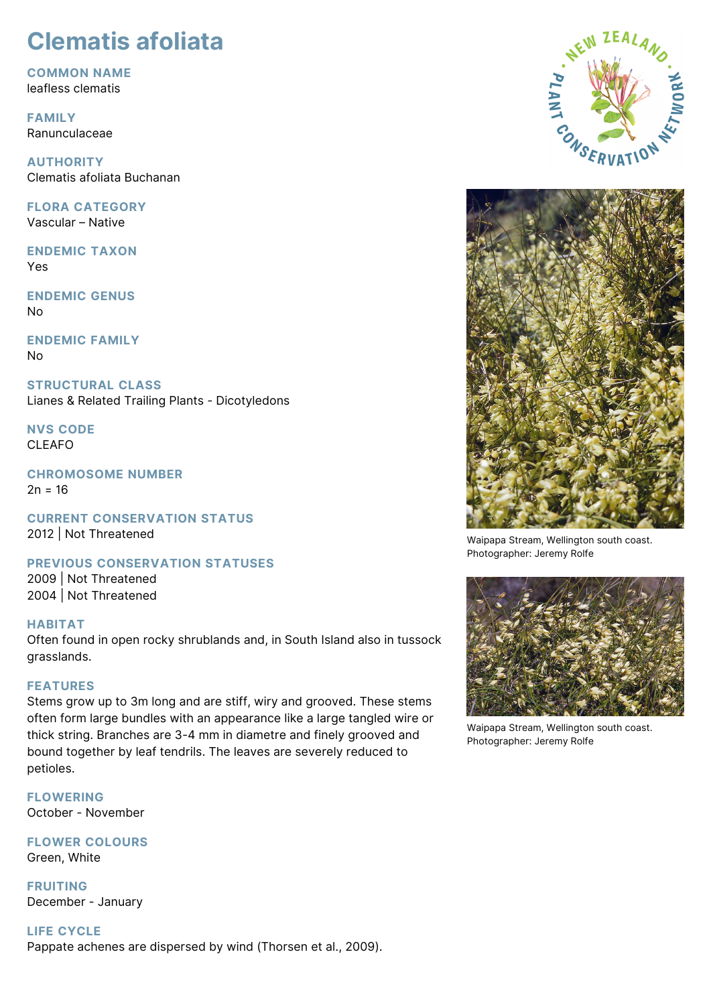# **Clematis afoliata**

**COMMON NAME** leafless clematis

**FAMILY** Ranunculaceae

**AUTHORITY** Clematis afoliata Buchanan

**FLORA CATEGORY** Vascular – Native

**ENDEMIC TAXON** Yes

**ENDEMIC GENUS** No

**ENDEMIC FAMILY** No

**STRUCTURAL CLASS** Lianes & Related Trailing Plants - Dicotyledons

**NVS CODE** CLEAFO

**CHROMOSOME NUMBER**  $2n = 16$ 

**CURRENT CONSERVATION STATUS** 2012 | Not Threatened

**PREVIOUS CONSERVATION STATUSES**

2009 | Not Threatened 2004 | Not Threatened

# **HABITAT**

Often found in open rocky shrublands and, in South Island also in tussock grasslands.

# **FEATURES**

Stems grow up to 3m long and are stiff, wiry and grooved. These stems often form large bundles with an appearance like a large tangled wire or thick string. Branches are 3-4 mm in diametre and finely grooved and bound together by leaf tendrils. The leaves are severely reduced to petioles.

**FLOWERING** October - November

**FLOWER COLOURS** Green, White

**FRUITING** December - January

**LIFE CYCLE** Pappate achenes are dispersed by wind (Thorsen et al., 2009).





Waipapa Stream, Wellington south coast. Photographer: Jeremy Rolfe



Waipapa Stream, Wellington south coast. Photographer: Jeremy Rolfe